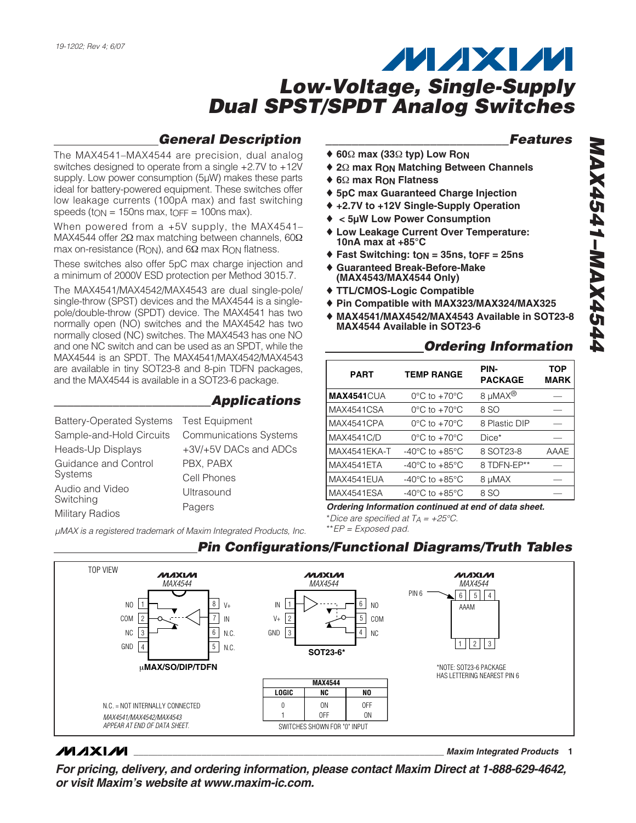### *General Description*

*\_\_\_\_\_\_\_\_\_\_\_\_\_\_\_\_\_\_\_\_\_\_\_\_Applications*

The MAX4541–MAX4544 are precision, dual analog switches designed to operate from a single +2.7V to +12V supply. Low power consumption (5µW) makes these parts ideal for battery-powered equipment. These switches offer low leakage currents (100pA max) and fast switching speeds (to  $N = 150$ ns max, to  $FF = 100$ ns max).

When powered from a +5V supply, the MAX4541-MAX4544 offer 2Ω max matching between channels, 60Ω max on-resistance (R<sub>ON</sub>), and 6 $\Omega$  max R<sub>ON</sub> flatness.

These switches also offer 5pC max charge injection and a minimum of 2000V ESD protection per Method 3015.7.

The MAX4541/MAX4542/MAX4543 are dual single-pole/ single-throw (SPST) devices and the MAX4544 is a singlepole/double-throw (SPDT) device. The MAX4541 has two normally open (NO) switches and the MAX4542 has two normally closed (NC) switches. The MAX4543 has one NO and one NC switch and can be used as an SPDT, while the MAX4544 is an SPDT. The MAX4541/MAX4542/MAX4543 are available in tiny SOT23-8 and 8-pin TDFN packages, and the MAX4544 is available in a SOT23-6 package.

| Battery-Operated Systems Test Equipment |                               |
|-----------------------------------------|-------------------------------|
| Sample-and-Hold Circuits                | <b>Communications Systems</b> |
| Heads-Up Displays                       | +3V/+5V DACs and ADCs         |
| Guidance and Control                    | PBX, PABX                     |
| <b>Systems</b>                          | Cell Phones                   |
| Audio and Video                         | Ultrasound                    |
| Switching                               | Pagers                        |
| <b>Military Radios</b>                  |                               |

*µMAX is a registered trademark of Maxim Integrated Products, Inc.*

#### *\_\_\_\_\_\_\_\_\_\_\_\_\_\_\_\_\_\_\_\_\_\_\_\_\_\_\_\_Features*

- ♦ **60**Ω **max (33**Ω **typ) Low RON**
- ♦ **2**Ω **max RON Matching Between Channels**
- ♦ **6**Ω **max RON Flatness**
- ♦ **5pC max Guaranteed Charge Injection**
- ♦ **+2.7V to +12V Single-Supply Operation**
- ♦ **< 5µW Low Power Consumption**
- **Low Leakage Current Over Temperature: 10nA max at +85°C**
- ♦ **Fast Switching: tON = 35ns, tOFF = 25ns**
- ♦ **Guaranteed Break-Before-Make (MAX4543/MAX4544 Only)**
- ♦ **TTL/CMOS-Logic Compatible**
- ♦ **Pin Compatible with MAX323/MAX324/MAX325**
- ♦ **MAX4541/MAX4542/MAX4543 Available in SOT23-8 MAX4544 Available in SOT23-6**

#### *Ordering Information*

| <b>PART</b>       | <b>TEMP RANGE</b>                  | PIN-<br><b>PACKAGE</b> | TOP<br><b>MARK</b> |
|-------------------|------------------------------------|------------------------|--------------------|
| <b>MAX4541CUA</b> | $0^{\circ}$ C to $+70^{\circ}$ C   | 8 µMAX <sup>®</sup>    |                    |
| MAX4541CSA        | $0^{\circ}$ C to $+70^{\circ}$ C   | 8 SO                   |                    |
| MAX4541CPA        | $0^{\circ}$ C to $+70^{\circ}$ C   | 8 Plastic DIP          |                    |
| <b>MAX4541C/D</b> | $0^{\circ}$ C to $+70^{\circ}$ C   | Dice*                  |                    |
| MAX4541EKA-T      | $-40^{\circ}$ C to $+85^{\circ}$ C | 8 SOT23-8              | AAAE               |
| MAX4541ETA        | $-40^{\circ}$ C to $+85^{\circ}$ C | 8 TDFN-FP**            |                    |
| MAX4541EUA        | $-40^{\circ}$ C to $+85^{\circ}$ C | 8 µMAX                 |                    |
| MAX4541ESA        | $-40^{\circ}$ C to $+85^{\circ}$ C | 8 SO                   |                    |
|                   |                                    |                        |                    |

*Ordering Information continued at end of data sheet.*

\**Dice are specified at TA = +25°C.*

*Pin Configurations/Functional Diagrams/Truth Tables*

\*\**EP = Exposed pad.*



#### **MAXIM**

**\_\_\_\_\_\_\_\_\_\_\_\_\_\_\_\_\_\_\_\_\_\_\_\_\_\_\_\_\_\_\_\_\_\_\_\_\_\_\_\_\_\_\_\_\_\_\_\_\_\_\_\_\_\_\_\_\_\_\_\_\_\_\_\_** *Maxim Integrated Products* **1**

*For pricing, delivery, and ordering information, please contact Maxim Direct at 1-888-629-4642, or visit Maxim's website at www.maxim-ic.com.*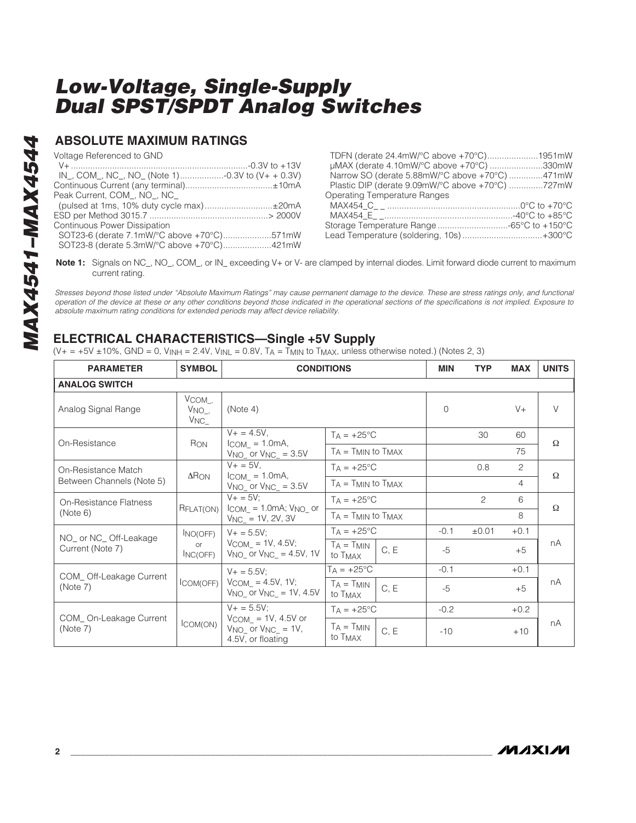#### **ABSOLUTE MAXIMUM RATINGS**

Voltage Referenced to GND

| $IN_{-}$ , COM <sub>-</sub> , NC <sub>-</sub> , NO <sub>-</sub> (Note 1)-0.3V to (V+ + 0.3V) |  |
|----------------------------------------------------------------------------------------------|--|
|                                                                                              |  |
| Peak Current, COM, NO, NC                                                                    |  |
|                                                                                              |  |
|                                                                                              |  |
| Continuous Power Dissipation                                                                 |  |
| SOT23-6 (derate 7.1mW/°C above +70°C)571mW                                                   |  |
| SOT23-8 (derate 5.3mW/°C above +70°C)421mW                                                   |  |

| TDFN (derate 24.4mW/°C above +70°C)1951mW        |  |
|--------------------------------------------------|--|
| µMAX (derate 4.10mW/°C above +70°C) 330mW        |  |
| Narrow SO (derate 5.88mW/°C above +70°C) 471mW   |  |
| Plastic DIP (derate 9.09mW/°C above +70°C) 727mW |  |
| <b>Operating Temperature Ranges</b>              |  |
|                                                  |  |
|                                                  |  |
| Storage Temperature Range -65°C to +150°C        |  |
| Lead Temperature (soldering, 10s) +300°C         |  |
|                                                  |  |

**Note 1:** Signals on NC\_, NO\_, COM\_, or IN\_ exceeding V+ or V- are clamped by internal diodes. Limit forward diode current to maximum current rating.

*Stresses beyond those listed under "Absolute Maximum Ratings" may cause permanent damage to the device. These are stress ratings only, and functional operation of the device at these or any other conditions beyond those indicated in the operational sections of the specifications is not implied. Exposure to absolute maximum rating conditions for extended periods may affect device reliability.*

### **ELECTRICAL CHARACTERISTICS—Single +5V Supply**

 $(V_{+} = +5V \pm 10\%$ , GND = 0, V<sub>INH</sub> = 2.4V, V<sub>INL</sub> = 0.8V, T<sub>A</sub> = T<sub>MIN</sub> to T<sub>MAX</sub>, unless otherwise noted.) (Notes 2, 3)

| <b>PARAMETER</b>                    | <b>SYMBOL</b>                              | <b>CONDITIONS</b>                                                          |                                        |      | <b>MIN</b> | <b>TYP</b> | <b>MAX</b>     | <b>UNITS</b> |
|-------------------------------------|--------------------------------------------|----------------------------------------------------------------------------|----------------------------------------|------|------------|------------|----------------|--------------|
| <b>ANALOG SWITCH</b>                |                                            |                                                                            |                                        |      |            |            |                |              |
| Analog Signal Range                 | $V_{COM}$ .<br>$V_{NO_-,}$<br>$V_{NC_{-}}$ | (Note 4)                                                                   |                                        |      | $\Omega$   |            | $V +$          | $\vee$       |
| On-Resistance                       |                                            | $V + = 4.5V$ ,                                                             | $T_A = +25^{\circ}C$                   |      |            | 30         | 60             | $\Omega$     |
|                                     | Ron                                        | $I_{COM} = 1.0mA,$<br>$V_{NO}$ or $V_{NC}$ = 3.5V                          | $T_A = T_{MIN}$ to $T_{MAX}$           |      |            |            | 75             |              |
| On-Resistance Match                 | $\Delta$ R <sub>ON</sub>                   | $V + = 5V$ ,                                                               | $T_A = +25$ °C                         |      |            | 0.8        | 2              | Ω            |
| Between Channels (Note 5)           |                                            | $ICOM = 1.0mA,$<br>$V_{NO}$ or $V_{NC}$ = 3.5V                             | $T_A = T_{MIN}$ to $T_{MAX}$           |      |            |            | $\overline{4}$ |              |
| On-Resistance Flatness              |                                            | $V + 5V$ :                                                                 | $T_A = +25$ °C                         |      |            | 2          | 6              | Ω            |
| (Note 6)                            | RFLAT(ON)                                  | $I_{COM} = 1.0mA$ ; $V_{NO}$ or<br>$V_{\text{NC}} = 1V, 2V, 3V$            | $T_A = T_{MIN}$ to $T_{MAX}$           |      |            |            | 8              |              |
| NO_ or NC_ Off-Leakage              | INO(OFF)                                   | $V + = 5.5V$ ;                                                             | $T_A = +25^{\circ}C$                   |      | $-0.1$     | ±0.01      | $+0.1$         |              |
| Current (Note 7)                    | $\alpha$<br>INC(OFF)                       | $V_{COM} = 1V, 4.5V;$<br>$V_{NO}$ or $V_{NC}$ = 4.5V, 1V                   | $T_A = T_{MIN}$<br>to T <sub>MAX</sub> | C, E | $-5$       |            | $+5$           | nA           |
|                                     |                                            | $V + 5.5V$ ;                                                               | $T_A = +25^{\circ}C$                   |      | $-0.1$     |            | $+0.1$         |              |
| COM_Off-Leakage Current<br>(Note 7) | COM(OFF)                                   | $V_{COM} = 4.5V, 1V;$<br>$V_{NO_}$ or $V_{NC_} = 1V, 4.5V$                 | $TA = TMIN$<br>to T <sub>MAX</sub>     | C, E | $-5$       |            | $+5$           | nA           |
|                                     |                                            | $V + = 5.5V$ ;                                                             | $T_A = +25$ °C                         |      | $-0.2$     |            | $+0.2$         |              |
| COM_On-Leakage Current<br>(Note 7)  | ICOM(ON)                                   | $V_{COM} = 1V, 4.5V$ or<br>$V_{NO}$ or $V_{NC}$ = 1V,<br>4.5V, or floating | $T_A = T_{MIN}$<br>to T <sub>MAX</sub> | C, E | $-10$      |            | $+10$          | nA           |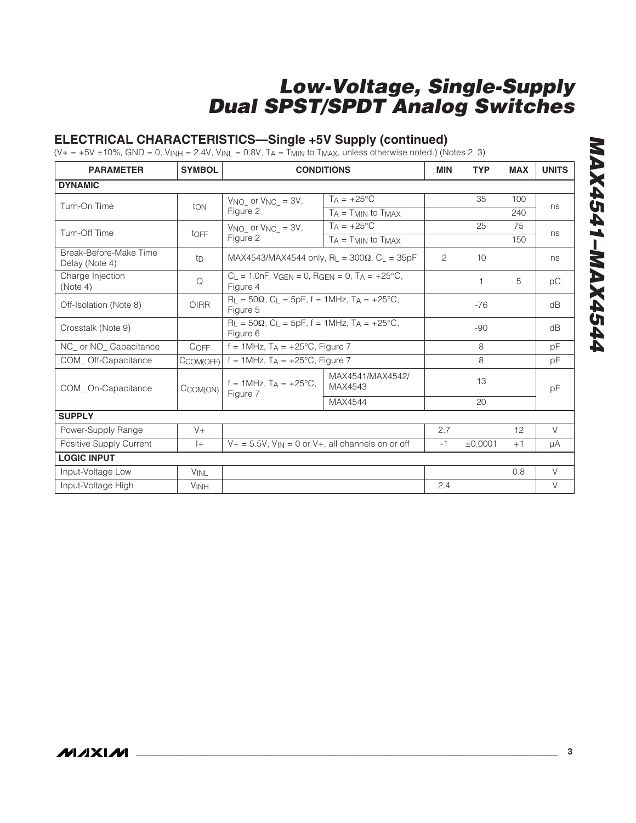#### **ELECTRICAL CHARACTERISTICS—Single +5V Supply (continued)**

 $(V_+ = +5V \pm 10\%$ , GND = 0,  $V_{INH} = 2.4V$ ,  $V_{INL} = 0.8V$ ,  $T_A = T_{MIN}$  to  $T_{MAX}$ , unless otherwise noted.) (Notes 2, 3)

| <b>PARAMETER</b>                         | <b>SYMBOL</b> |                                                                                        | <b>CONDITIONS</b>                                                           | <b>MIN</b>     | <b>TYP</b> | <b>MAX</b> | <b>UNITS</b> |
|------------------------------------------|---------------|----------------------------------------------------------------------------------------|-----------------------------------------------------------------------------|----------------|------------|------------|--------------|
| <b>DYNAMIC</b>                           |               |                                                                                        |                                                                             |                |            |            |              |
| Turn-On Time                             | ton           | $V_{NO_}$ or $V_{NC_} = 3V$ ,                                                          | $T_A = +25^{\circ}C$                                                        |                | 35         | 100        | ns           |
|                                          |               | Figure 2                                                                               | $T_A = T_{MIN}$ to $T_{MAX}$                                                |                |            | 240        |              |
| Turn-Off Time                            | toff          | $V_{NO}$ or $V_{NC}$ = 3V,                                                             | $T_A = +25$ °C                                                              |                | 25         | 75         | ns           |
|                                          |               | Figure 2                                                                               | $T_A = T_{MIN}$ to $T_{MAX}$                                                |                |            | 150        |              |
| Break-Before-Make Time<br>Delay (Note 4) | tD            |                                                                                        | MAX4543/MAX4544 only, R <sub>1</sub> = 300 $\Omega$ , C <sub>1</sub> = 35pF | $\overline{2}$ | 10         |            | ns           |
| Charge Injection<br>(Note 4)             | Q             | $C_L = 1.0nF$ , VGEN = 0, RGEN = 0, TA = +25°C,<br>Figure 4                            |                                                                             |                | 1          | 5          | рC           |
| Off-Isolation (Note 8)                   | <b>OIRR</b>   | $R_1 = 50\Omega$ , C <sub>1</sub> = 5pF, f = 1MHz, T <sub>A</sub> = +25°C,<br>Figure 5 |                                                                             |                | $-76$      |            | dB           |
| Crosstalk (Note 9)                       |               | $R_L = 50\Omega$ , C <sub>L</sub> = 5pF, f = 1MHz, T <sub>A</sub> = +25°C,<br>Figure 6 |                                                                             |                | $-90$      |            | dB           |
| NC_ or NO_ Capacitance                   | COFF          | $f = 1$ MHz, $TA = +25^{\circ}C$ , Figure 7                                            |                                                                             |                | 8          |            | pF           |
| COM Off-Capacitance                      | CCOM(OFF)     | f = 1MHz, $T_A$ = +25°C, Figure 7                                                      |                                                                             |                | 8          |            | pF           |
| COM_On-Capacitance                       | CCOM(ON)      | $f = 1$ MHz, $T_A = +25$ °C,<br>Figure 7                                               | MAX4541/MAX4542/<br>MAX4543                                                 |                | 13         |            | pF           |
|                                          |               |                                                                                        | MAX4544                                                                     |                | 20         |            |              |
| <b>SUPPLY</b>                            |               |                                                                                        |                                                                             |                |            |            |              |
| Power-Supply Range                       | $V +$         |                                                                                        |                                                                             | 2.7            |            | 12         | $\vee$       |
| Positive Supply Current                  | $ +$          | $V_+$ = 5.5V, $V_{\text{IN}}$ = 0 or V+, all channels on or off                        |                                                                             | $-1$           | ±0.0001    | $+1$       | μA           |
| <b>LOGIC INPUT</b>                       |               |                                                                                        |                                                                             |                |            |            |              |
| Input-Voltage Low                        | <b>VINL</b>   |                                                                                        |                                                                             |                |            | 0.8        | V            |
| Input-Voltage High                       | <b>VINH</b>   |                                                                                        |                                                                             | 2.4            |            |            | $\vee$       |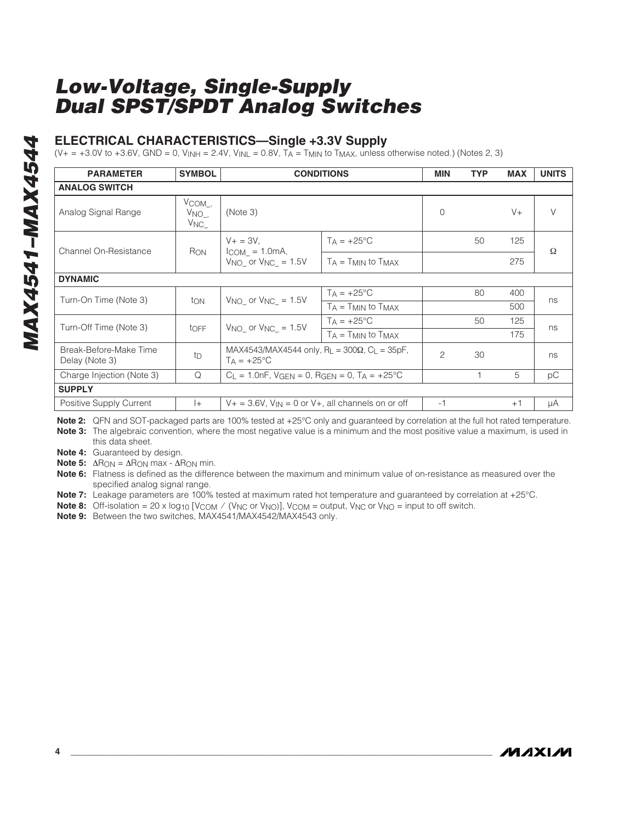#### **ELECTRICAL CHARACTERISTICS—Single +3.3V Supply**

(V+ = +3.0V to +3.6V, GND = 0, V<sub>INH</sub> = 2.4V, V<sub>INL</sub> = 0.8V, T<sub>A</sub> = T<sub>MIN</sub> to T<sub>MAX</sub>, unless otherwise noted.) (Notes 2, 3)

| <b>PARAMETER</b>                         | <b>SYMBOL</b>                                       |                                                                                    | <b>CONDITIONS</b>            | <b>MIN</b>     | <b>TYP</b> | <b>MAX</b> | <b>UNITS</b> |
|------------------------------------------|-----------------------------------------------------|------------------------------------------------------------------------------------|------------------------------|----------------|------------|------------|--------------|
| <b>ANALOG SWITCH</b>                     |                                                     |                                                                                    |                              |                |            |            |              |
| Analog Signal Range                      | $V_{COM}$ ,<br>V <sub>NO</sub> .<br>V <sub>NC</sub> | (Note 3)                                                                           |                              | $\Omega$       |            | $V +$      | $\vee$       |
| <b>Channel On-Resistance</b>             | R <sub>ON</sub>                                     | $V + = 3V$ .<br>$ICOM = 1.0mA,$                                                    | $TA = +25^{\circ}C$          |                | 50         | 125        | Ω            |
|                                          |                                                     | $VNO_$ or $VNC_$ = 1.5V                                                            | $T_A = T_{MIN}$ to $T_{MAX}$ |                |            | 275        |              |
| <b>DYNAMIC</b>                           |                                                     |                                                                                    |                              |                |            |            |              |
| Turn-On Time (Note 3)                    | ton                                                 | $VNO_$ or $VNC_$ = 1.5V                                                            | $TA = +25^{\circ}C$          |                | 80         | 400        | ns           |
|                                          |                                                     |                                                                                    | $T_A = T_{MIN}$ to $T_{MAX}$ |                |            | 500        |              |
| Turn-Off Time (Note 3)                   | toFF                                                | $V_{NO}$ or $V_{NC}$ = 1.5V                                                        | $T_A = +25$ °C               |                | 50         | 125        | ns           |
|                                          |                                                     |                                                                                    | $TA = TMIN$ to $TMAX$        |                |            | 175        |              |
| Break-Before-Make Time<br>Delay (Note 3) | tp                                                  | MAX4543/MAX4544 only, $R_L = 300\Omega$ , $C_L = 35pF$ ,<br>$T_A = +25$ °C         |                              | $\overline{c}$ | 30         |            | ns           |
| Charge Injection (Note 3)                | Q                                                   | $C_1 = 1.0nF$ , $V_{\text{GFN}} = 0$ , $R_{\text{GFN}} = 0$ , $T_A = +25^{\circ}C$ |                              |                |            | 5          | рC           |
| <b>SUPPLY</b>                            |                                                     |                                                                                    |                              |                |            |            |              |
| Positive Supply Current                  | $ + $                                               | $V_+$ = 3.6V, $V_{IN}$ = 0 or V+, all channels on or off                           |                              | $-1$           |            | $+1$       | μA           |

**Note 2:** QFN and SOT-packaged parts are 100% tested at +25°C only and guaranteed by correlation at the full hot rated temperature. **Note 3:** The algebraic convention, where the most negative value is a minimum and the most positive value a maximum, is used in this data sheet.

**Note 4:** Guaranteed by design.

**Note 5:**  $\Delta R_{ON} = \Delta R_{ON}$  max -  $\Delta R_{ON}$  min.

**Note 6:** Flatness is defined as the difference between the maximum and minimum value of on-resistance as measured over the specified analog signal range.

**Note 7:** Leakage parameters are 100% tested at maximum rated hot temperature and guaranteed by correlation at +25°C.

**Note 8:** Off-isolation = 20 x log<sub>10</sub> [V<sub>COM</sub> / (V<sub>NC</sub> or V<sub>NO</sub>)], V<sub>COM</sub> = output, V<sub>NC</sub> or V<sub>NO</sub> = input to off switch.

**Note 9:** Between the two switches, MAX4541/MAX4542/MAX4543 only.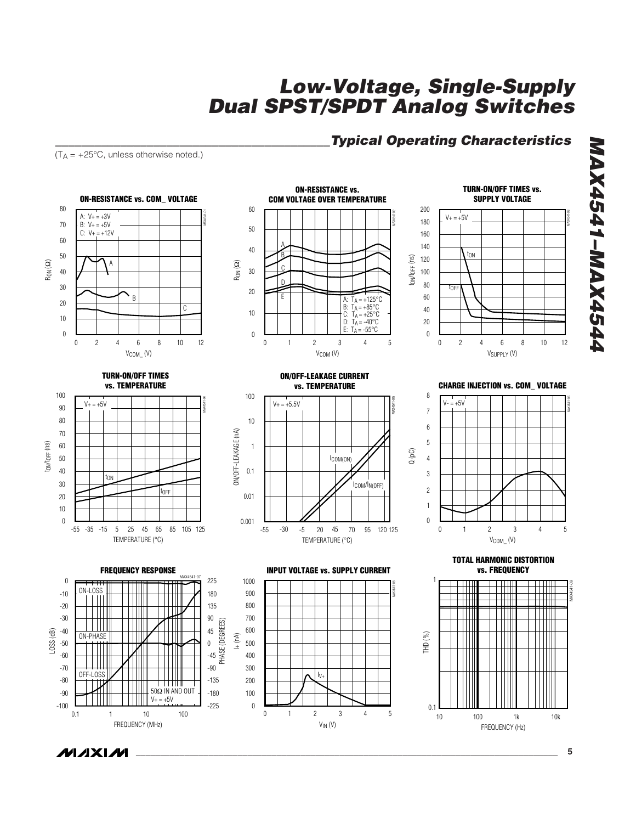#### *\_\_\_\_\_\_\_\_\_\_\_\_\_\_\_\_\_\_\_\_\_\_\_\_\_\_\_\_\_\_\_\_\_\_\_\_\_\_\_\_\_\_Typical Operating Characteristics*

*MAX4541–MAX4544*

**MAX4541-MAX4544** 

 $(T_A = +25^{\circ}C,$  unless otherwise noted.)

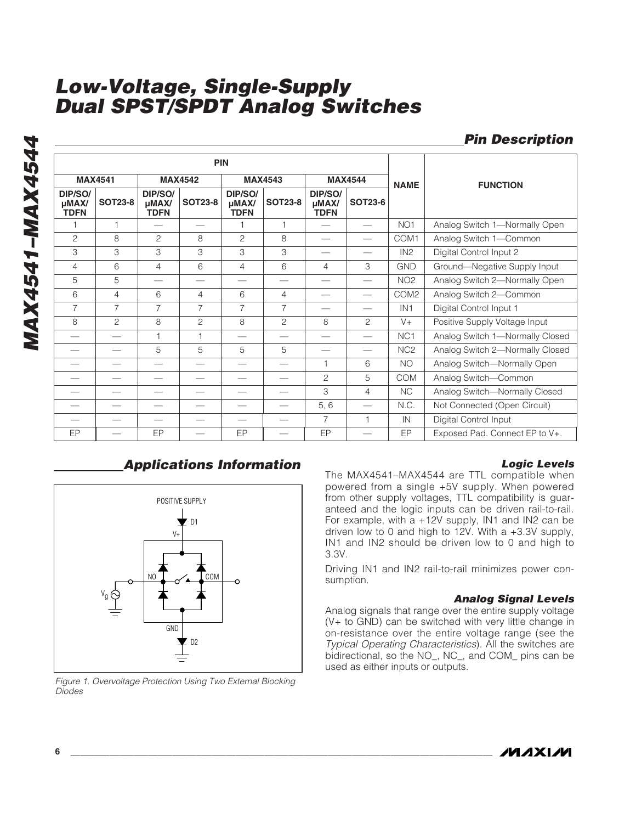|                                      |                |                                      |                | <b>PIN</b>                           |                |                                      |                |                  |                                 |
|--------------------------------------|----------------|--------------------------------------|----------------|--------------------------------------|----------------|--------------------------------------|----------------|------------------|---------------------------------|
|                                      | <b>MAX4541</b> |                                      | <b>MAX4542</b> |                                      | <b>MAX4543</b> |                                      | <b>MAX4544</b> | <b>NAME</b>      | <b>FUNCTION</b>                 |
| DIP/SO/<br>$\mu$ MAX/<br><b>TDFN</b> | <b>SOT23-8</b> | DIP/SO/<br>$\mu$ MAX/<br><b>TDFN</b> | <b>SOT23-8</b> | DIP/SO/<br>$\mu$ MAX/<br><b>TDFN</b> | <b>SOT23-8</b> | DIP/SO/<br>$\mu$ MAX/<br><b>TDFN</b> | <b>SOT23-6</b> |                  |                                 |
|                                      | 1              |                                      |                |                                      |                |                                      |                | NO <sub>1</sub>  | Analog Switch 1-Normally Open   |
| $\overline{c}$                       | 8              | $\overline{c}$                       | 8              | $\overline{c}$                       | 8              |                                      |                | COM1             | Analog Switch 1-Common          |
| 3                                    | 3              | 3                                    | 3              | 3                                    | 3              |                                      |                | IN2              | Digital Control Input 2         |
| 4                                    | 6              | $\overline{4}$                       | 6              | $\overline{4}$                       | 6              | 4                                    | 3              | <b>GND</b>       | Ground-Negative Supply Input    |
| 5                                    | 5              |                                      |                |                                      |                |                                      |                | NO <sub>2</sub>  | Analog Switch 2-Normally Open   |
| 6                                    | $\overline{4}$ | 6                                    | 4              | 6                                    | $\overline{4}$ |                                      |                | COM <sub>2</sub> | Analog Switch 2-Common          |
| $\overline{7}$                       | $\overline{7}$ | $\overline{7}$                       | $\overline{7}$ | $\overline{7}$                       | $\overline{7}$ |                                      |                | IN <sub>1</sub>  | Digital Control Input 1         |
| 8                                    | $\overline{c}$ | 8                                    | $\overline{c}$ | 8                                    | $\overline{c}$ | 8                                    | 2              | $V +$            | Positive Supply Voltage Input   |
|                                      |                | Н                                    | $\overline{1}$ |                                      |                |                                      |                | NC <sub>1</sub>  | Analog Switch 1-Normally Closed |
|                                      |                | 5                                    | 5              | 5                                    | 5              |                                      |                | NC <sub>2</sub>  | Analog Switch 2-Normally Closed |
|                                      |                |                                      |                |                                      |                |                                      | 6              | <b>NO</b>        | Analog Switch-Normally Open     |
|                                      |                |                                      |                |                                      |                | $\overline{c}$                       | 5              | <b>COM</b>       | Analog Switch-Common            |
|                                      |                |                                      |                |                                      |                | 3                                    | 4              | <b>NC</b>        | Analog Switch-Normally Closed   |
|                                      |                |                                      |                |                                      |                | 5, 6                                 | --             | N.C.             | Not Connected (Open Circuit)    |
|                                      |                |                                      |                |                                      |                | 7                                    | $\overline{1}$ | IN               | Digital Control Input           |
| EP                                   |                | EP                                   |                | EP                                   |                | EP                                   |                | EP               | Exposed Pad. Connect EP to V+.  |

### *Applications Information Logic Levels*



*Figure 1. Overvoltage Protection Using Two External Blocking Diodes*

*Pin Description*

The MAX4541–MAX4544 are TTL compatible when powered from a single +5V supply. When powered from other supply voltages, TTL compatibility is guaranteed and the logic inputs can be driven rail-to-rail. For example, with a +12V supply, IN1 and IN2 can be driven low to 0 and high to 12V. With a +3.3V supply, IN1 and IN2 should be driven low to 0 and high to 3.3V.

Driving IN1 and IN2 rail-to-rail minimizes power consumption.

#### *Analog Signal Levels*

Analog signals that range over the entire supply voltage (V+ to GND) can be switched with very little change in on-resistance over the entire voltage range (see the *Typical Operating Characteristics*). All the switches are bidirectional, so the NO\_, NC\_, and COM\_ pins can be used as either inputs or outputs.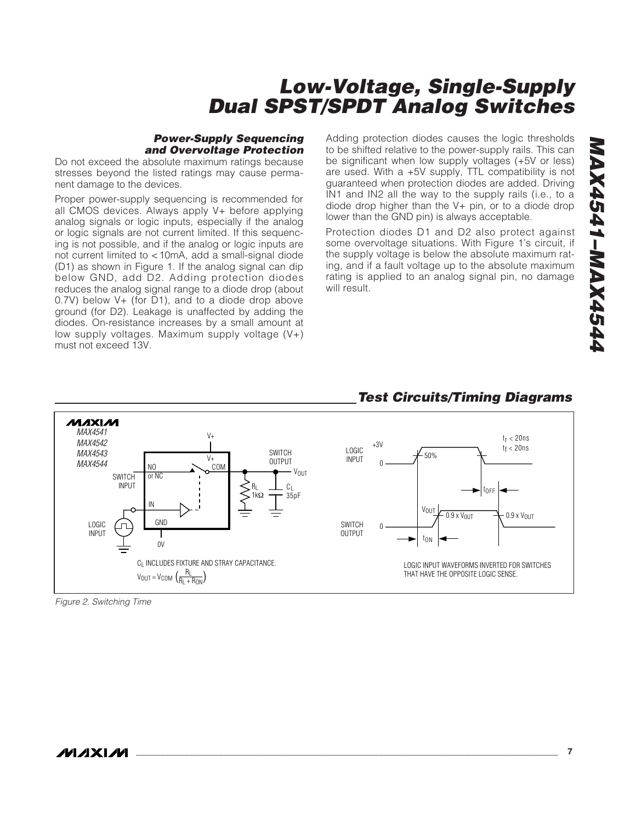#### *Power-Supply Sequencing and Overvoltage Protection*

Do not exceed the absolute maximum ratings because stresses beyond the listed ratings may cause permanent damage to the devices.

Proper power-supply sequencing is recommended for all CMOS devices. Always apply V+ before applying analog signals or logic inputs, especially if the analog or logic signals are not current limited. If this sequencing is not possible, and if the analog or logic inputs are not current limited to <10mA, add a small-signal diode (D1) as shown in Figure 1. If the analog signal can dip below GND, add D2. Adding protection diodes reduces the analog signal range to a diode drop (about 0.7V) below V+ (for D1), and to a diode drop above ground (for D2). Leakage is unaffected by adding the diodes. On-resistance increases by a small amount at low supply voltages. Maximum supply voltage  $(V+)$ must not exceed 13V.

Adding protection diodes causes the logic thresholds to be shifted relative to the power-supply rails. This can be significant when low supply voltages (+5V or less) are used. With a +5V supply, TTL compatibility is not guaranteed when protection diodes are added. Driving IN1 and IN2 all the way to the supply rails (i.e., to a diode drop higher than the V+ pin, or to a diode drop lower than the GND pin) is always acceptable.

Protection diodes D1 and D2 also protect against some overvoltage situations. With Figure 1's circuit, if the supply voltage is below the absolute maximum rating, and if a fault voltage up to the absolute maximum rating is applied to an analog signal pin, no damage will result.

#### *Test Circuits/Timing Diagrams*



*Figure 2. Switching Time*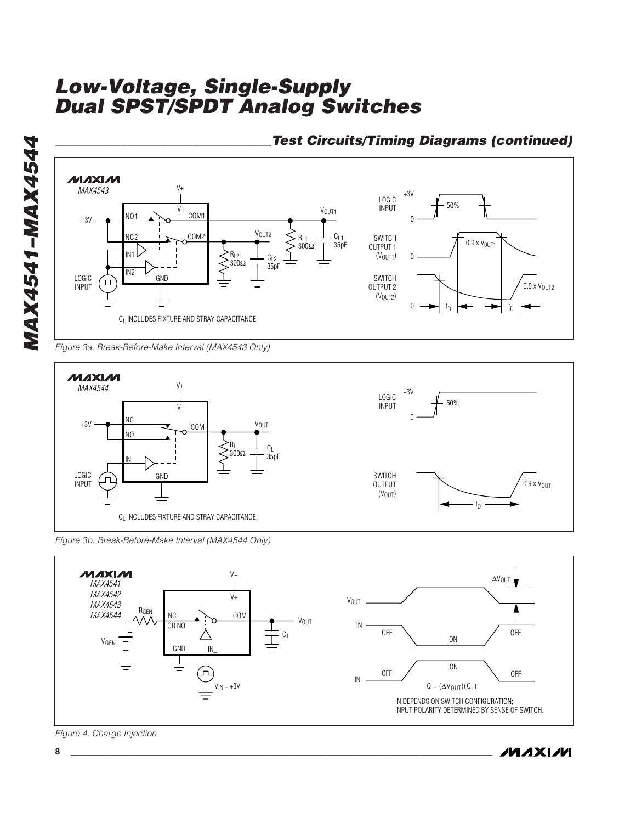

#### *\_\_\_\_\_\_\_\_\_\_\_\_\_\_\_\_\_\_\_\_\_\_\_\_\_\_\_\_\_\_\_\_\_Test Circuits/Timing Diagrams (continued)*

*Figure 3a. Break-Before-Make Interval (MAX4543 Only)*



*Figure 3b. Break-Before-Make Interval (MAX4544 Only)*



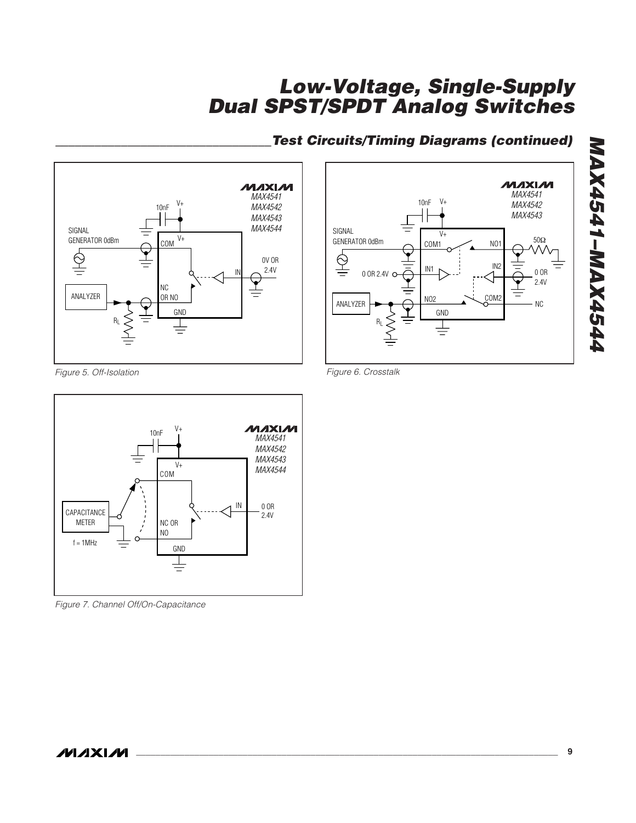

# *\_\_\_\_\_\_\_\_\_\_\_\_\_\_\_\_\_\_\_\_\_\_\_\_\_\_\_\_\_\_\_\_\_Test Circuits/Timing Diagrams (continued)*



*Figure 5. Off-Isolation* 



*Figure 7. Channel Off/On-Capacitance*

*Figure 6. Crosstalk* 

*MAX4541–MAX4544*

**APSAXAM-1434XAM**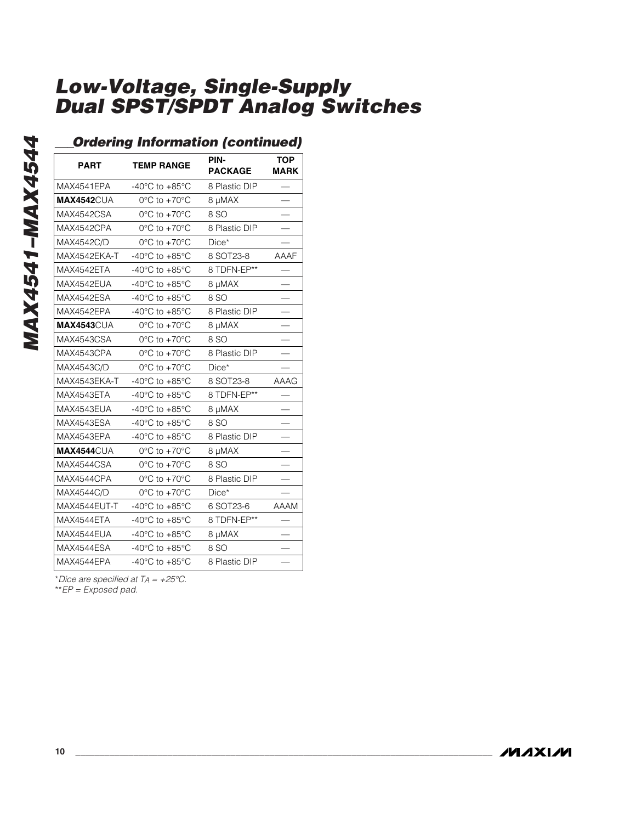### *\_\_\_Ordering Information (continued)*

| ,,,,,              | ----                                 |                        |                           |
|--------------------|--------------------------------------|------------------------|---------------------------|
| <b>PART</b>        | <b>TEMP RANGE</b>                    | PIN-<br><b>PACKAGE</b> | <b>TOP</b><br><b>MARK</b> |
| MAX4541EPA         | -40 $^{\circ}$ C to +85 $^{\circ}$ C | 8 Plastic DIP          |                           |
| <b>MAX4542CUA</b>  | $0^{\circ}$ C to +70 $^{\circ}$ C    | 8 µMAX                 |                           |
| MAX4542CSA         | $0^{\circ}$ C to +70 $^{\circ}$ C    | 8 SO                   |                           |
| MAX4542CPA         | $0^{\circ}$ C to +70 $^{\circ}$ C    | 8 Plastic DIP          |                           |
| MAX4542C/D         | 0°C to +70°C                         | Dice*                  |                           |
| MAX4542EKA-T       | -40 $^{\circ}$ C to +85 $^{\circ}$ C | 8 SOT23-8              | AAAF                      |
| MAX4542ETA         | -40 $^{\circ}$ C to +85 $^{\circ}$ C | 8 TDFN-EP**            |                           |
| MAX4542EUA         | -40 $^{\circ}$ C to +85 $^{\circ}$ C | 8 µMAX                 |                           |
| <b>MAX4542ESA</b>  | -40 $^{\circ}$ C to +85 $^{\circ}$ C | 8 SO                   |                           |
| MAX4542EPA         | -40 $^{\circ}$ C to +85 $^{\circ}$ C | 8 Plastic DIP          |                           |
| <b>MAX4543</b> CUA | $0^{\circ}$ C to +70 $^{\circ}$ C    | 8 µMAX                 |                           |
| MAX4543CSA         | $0^{\circ}$ C to +70 $^{\circ}$ C    | 8 SO                   |                           |
| MAX4543CPA         | $0^{\circ}$ C to +70 $^{\circ}$ C    | 8 Plastic DIP          |                           |
| MAX4543C/D         | $0^{\circ}$ C to +70 $^{\circ}$ C    | Dice*                  |                           |
| MAX4543EKA-T       | -40 $^{\circ}$ C to +85 $^{\circ}$ C | 8 SOT23-8              | AAAG                      |
| MAX4543ETA         | -40 $^{\circ}$ C to +85 $^{\circ}$ C | 8 TDFN-EP**            |                           |
| MAX4543EUA         | -40 $^{\circ}$ C to +85 $^{\circ}$ C | 8 µMAX                 |                           |
| MAX4543ESA         | -40 $^{\circ}$ C to +85 $^{\circ}$ C | 8 SO                   |                           |
| MAX4543EPA         | -40 $^{\circ}$ C to +85 $^{\circ}$ C | 8 Plastic DIP          |                           |
| <b>MAX4544CUA</b>  | $0^{\circ}$ C to +70 $^{\circ}$ C    | 8 µMAX                 |                           |
| MAX4544CSA         | $0^{\circ}$ C to +70 $^{\circ}$ C    | 8 SO                   |                           |
| MAX4544CPA         | $0^{\circ}$ C to $+70^{\circ}$ C     | 8 Plastic DIP          |                           |
| MAX4544C/D         | $0^{\circ}$ C to +70 $^{\circ}$ C    | Dice*                  |                           |
| MAX4544EUT-T       | -40 $^{\circ}$ C to +85 $^{\circ}$ C | 6 SOT23-6              | <b>AAAM</b>               |
| MAX4544ETA         | -40 $^{\circ}$ C to +85 $^{\circ}$ C | 8 TDFN-EP**            |                           |
| MAX4544EUA         | -40 $^{\circ}$ C to +85 $^{\circ}$ C | 8 µMAX                 |                           |
| MAX4544ESA         | -40 $^{\circ}$ C to +85 $^{\circ}$ C | 8 SO                   |                           |
| MAX4544EPA         | -40 $^{\circ}$ C to +85 $^{\circ}$ C | 8 Plastic DIP          |                           |

\**Dice are specified at TA = +25°C.*

\*\**EP = Exposed pad.*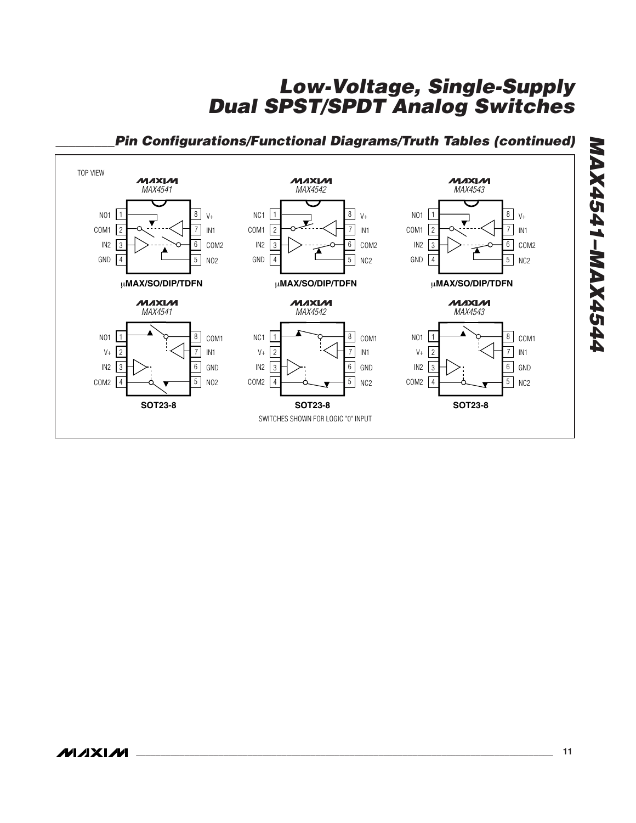

#### *\_\_\_\_\_\_\_\_\_Pin Configurations/Functional Diagrams/Truth Tables (continued)*

*MAX4541–MAX4544*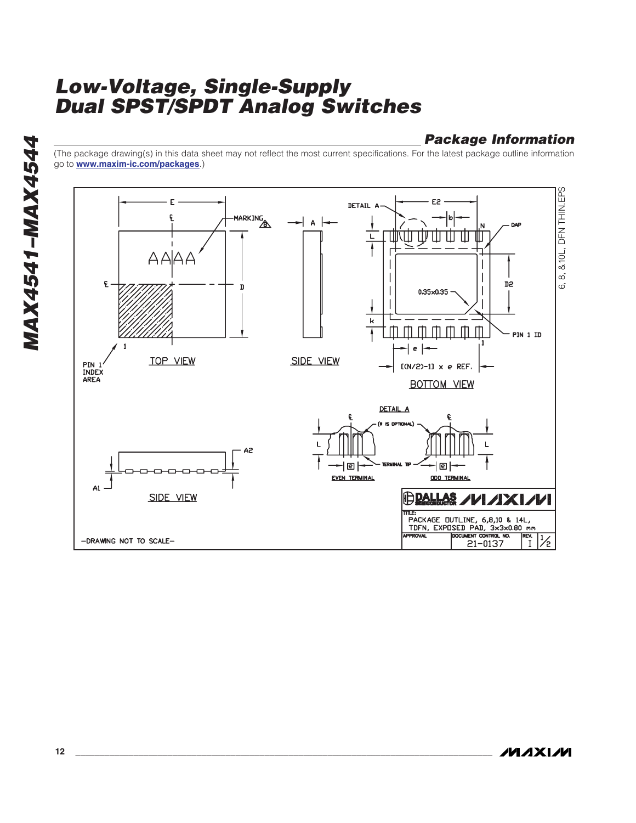#### *Package Information*

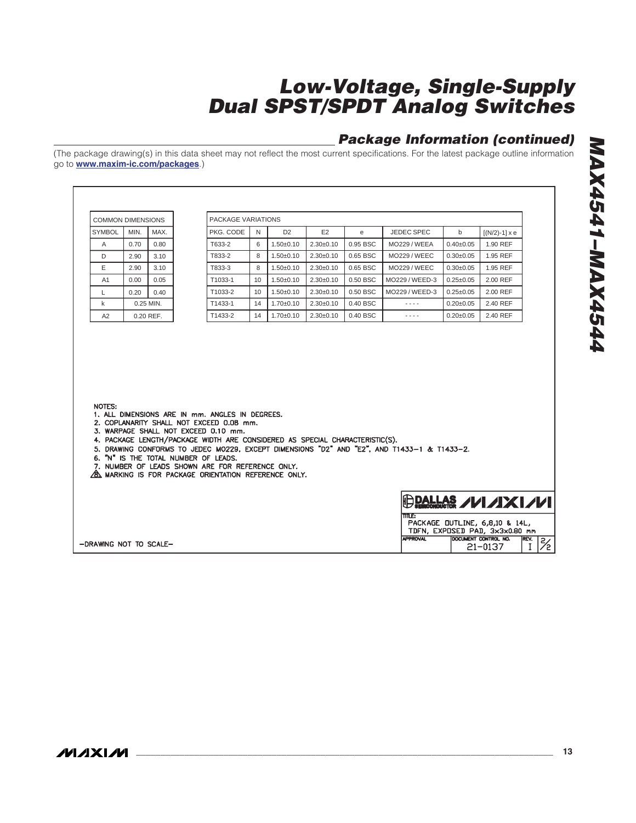### *Package Information (continued)*

| <b>COMMON DIMENSIONS</b> |      |             | PACKAGE VARIATIONS                                                                                                                                                                                                                                                                                                           |    |                |             |            |                                                                                             |                 |                                                                                                                |  |
|--------------------------|------|-------------|------------------------------------------------------------------------------------------------------------------------------------------------------------------------------------------------------------------------------------------------------------------------------------------------------------------------------|----|----------------|-------------|------------|---------------------------------------------------------------------------------------------|-----------------|----------------------------------------------------------------------------------------------------------------|--|
| <b>SYMBOL</b>            | MIN. | MAX.        | PKG. CODE                                                                                                                                                                                                                                                                                                                    | N  | D <sub>2</sub> | E2          | e          | <b>JEDEC SPEC</b>                                                                           | b               | $[(N/2)-1] \times e$                                                                                           |  |
| A                        | 0.70 | 0.80        | T633-2                                                                                                                                                                                                                                                                                                                       | 6  | $1.50 + 0.10$  | $2.30+0.10$ | 0.95 BSC   | <b>MO229 / WEEA</b>                                                                         | $0.40{\pm}0.05$ | 1.90 REF                                                                                                       |  |
| D                        | 2.90 | 3.10        | T833-2                                                                                                                                                                                                                                                                                                                       | 8  | $1.50 + 0.10$  | $2.30+0.10$ | 0.65 BSC   | <b>MO229 / WEEC</b>                                                                         | $0.30+0.05$     | 1.95 REF                                                                                                       |  |
| E                        | 2.90 | 3.10        | T833-3                                                                                                                                                                                                                                                                                                                       | 8  | $1.50+0.10$    | $2.30+0.10$ | 0.65 BSC   | <b>MO229 / WEEC</b>                                                                         | $0.30+0.05$     | 1.95 REF                                                                                                       |  |
| A <sub>1</sub>           | 0.00 | 0.05        | T1033-1                                                                                                                                                                                                                                                                                                                      | 10 | $1.50 + 0.10$  | $2.30+0.10$ | 0.50 BSC   | MO229 / WEED-3                                                                              | $0.25 \pm 0.05$ | 2.00 REF                                                                                                       |  |
| L                        | 0.20 | 0.40        | T1033-2                                                                                                                                                                                                                                                                                                                      | 10 | $1.50+0.10$    | $2.30+0.10$ | 0.50 BSC   | MO229 / WEED-3                                                                              | $0.25 \pm 0.05$ | 2.00 REF                                                                                                       |  |
| k                        |      | $0.25$ MIN. | T1433-1                                                                                                                                                                                                                                                                                                                      | 14 | $1.70+0.10$    | $2.30+0.10$ | $0.40$ BSC | $- - - -$                                                                                   | $0.20 \pm 0.05$ | 2.40 REF                                                                                                       |  |
| A2                       |      | 0.20 REF.   | T1433-2                                                                                                                                                                                                                                                                                                                      | 14 | $1.70 + 0.10$  | $2.30+0.10$ | 0.40 BSC   | ----                                                                                        | $0.20 \pm 0.05$ | 2.40 REF                                                                                                       |  |
|                          |      |             | 1. ALL DIMENSIONS ARE IN mm. ANGLES IN DEGREES.                                                                                                                                                                                                                                                                              |    |                |             |            |                                                                                             |                 |                                                                                                                |  |
| NOTES:                   |      |             | 2. COPLANARITY SHALL NOT EXCEED 0.08 mm.<br>3. WARPAGE SHALL NOT EXCEED 0.10 mm.<br>4. PACKAGE LENGTH/PACKAGE WIDTH ARE CONSIDERED AS SPECIAL CHARACTERISTIC(S).<br>6. "N" IS THE TOTAL NUMBER OF LEADS.<br>7. NUMBER OF LEADS SHOWN ARE FOR REFERENCE ONLY.<br><b>B. MARKING IS FOR PACKAGE ORIENTATION REFERENCE ONLY.</b> |    |                |             |            | 5. DRAWING CONFORMS TO JEDEC MOZZ9. EXCEPT DIMENSIONS "D2" AND "E2". AND T1433-1 & T1433-2. |                 |                                                                                                                |  |
|                          |      |             |                                                                                                                                                                                                                                                                                                                              |    |                |             |            | <b>TITLE:</b>                                                                               |                 | $\bigoplus$ Dallas / $\nu$ / $X$ / $\nu$ /<br>PACKAGE DUTLINE, 6,8,10 & 14L,<br>TDFN, EXPOSED PAD, 3x3x0.80 mm |  |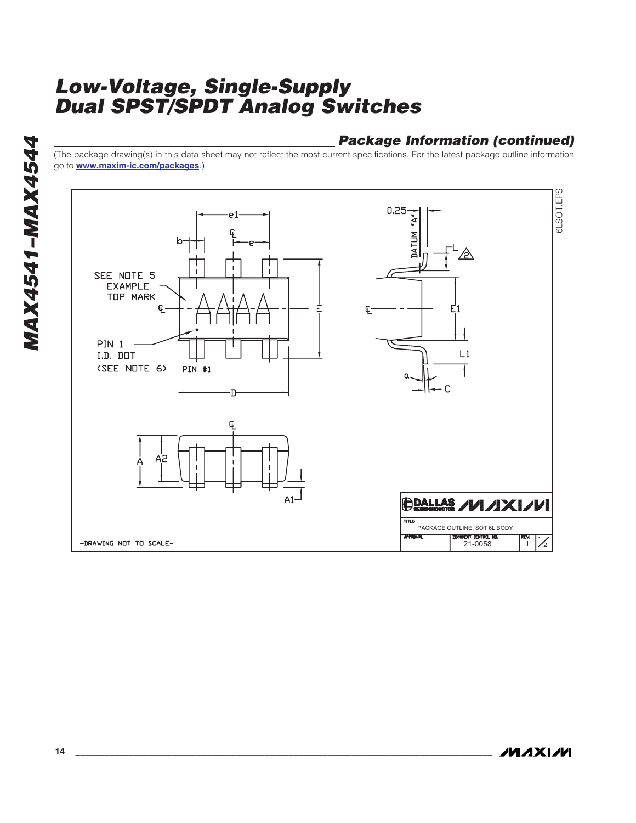### *Package Information (continued)*

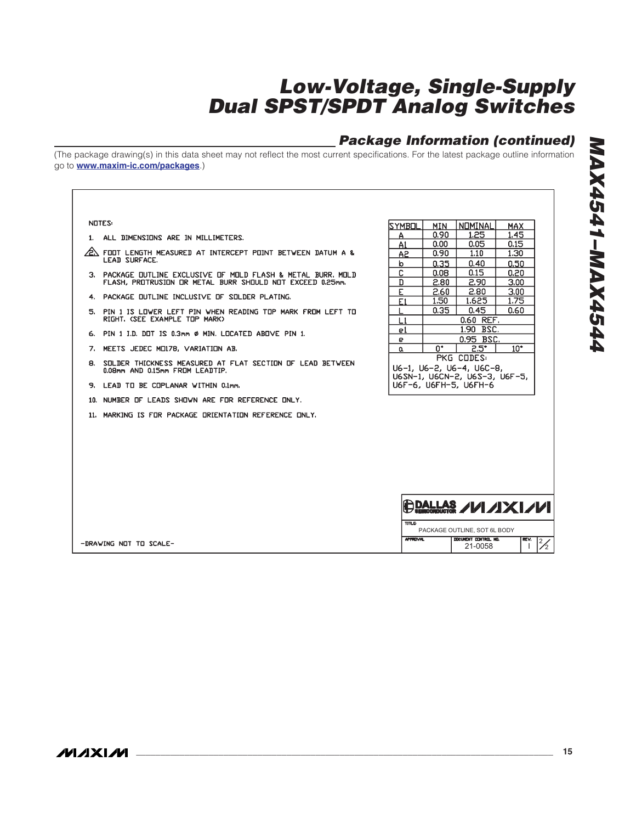### *Package Information (continued)*

| NOTES:                                                               | SYMBOL          | MIN  | NOMINAL                                                | <b>MAX</b>           |
|----------------------------------------------------------------------|-----------------|------|--------------------------------------------------------|----------------------|
|                                                                      | А               | 0.90 | 1.25                                                   | 1.45                 |
| 1. ALL DIMENSIONS ARE IN MILLIMETERS.                                | A1              | 0.00 | 0.05                                                   | 0.15                 |
| $\sqrt{2}$ foot length measured at intercept point between datum a & | A <sub>2</sub>  | 0.90 | 1.10                                                   | 1,30                 |
| <b>LEAD SURFACE.</b>                                                 | $\mathbf b$     | 0.35 | 0.40                                                   | 0.50                 |
| 3. PACKAGE OUTLINE EXCLUSIVE OF MOLD FLASH & METAL BURR, MOLD        | C               | 0.08 | 0.15                                                   | 0.20                 |
| FLASH, PROTRUSION OR METAL BURR SHOULD NOT EXCEED 0.25mm.            | D               | 2.80 | 2.90                                                   | 3,00                 |
| 4. PACKAGE OUTLINE INCLUSIVE OF SOLDER PLATING.                      | E               | 2.60 | 2.80                                                   | 3.00                 |
|                                                                      | E1              | 1.50 | 1.625                                                  | 1.75                 |
| 5. PIN 1 IS LOWER LEFT PIN WHEN READING TOP MARK FROM LEFT TO        |                 | 0.35 | 0.45                                                   | 0.60                 |
| RIGHT, (SEE EXAMPLE TOP MARK)                                        | L1              |      | 0.60 REF.                                              |                      |
| 6. PIN 1 I.D. DOT IS 0.3mm Ø MIN. LOCATED ABOVE PIN 1.               | e1              |      | 1.90 BSC.                                              |                      |
|                                                                      | e               |      | 0.95 BSC.                                              |                      |
| 7. MEETS JEDEC MO178, VARIATION AB.                                  | $\alpha$        | n*   | $2.5^{\circ}$                                          | $10^*$               |
| 8. SOLDER THICKNESS MEASURED AT FLAT SECTION OF LEAD BETWEEN         |                 |      | PKG CODES:                                             |                      |
| 0.08mm AND 0.15mm FROM LEADTIP.                                      |                 |      | U6-1, U6-2, U6-4, U6C-8,                               |                      |
| 9. LEAD TO BE COPLANAR WITHIN 0.1mm.                                 |                 |      | U6SN-1, U6CN-2, U6S-3, U6F-5,<br>U6F-6, U6FH-5, U6FH-6 |                      |
| 10. NUMBER OF LEADS SHOWN ARE FOR REFERENCE ONLY.                    |                 |      |                                                        |                      |
| 11. MARKING IS FOR PACKAGE ORIENTATION REFERENCE ONLY.               |                 |      |                                                        |                      |
|                                                                      |                 |      |                                                        |                      |
|                                                                      |                 |      |                                                        |                      |
|                                                                      |                 |      |                                                        |                      |
|                                                                      |                 |      |                                                        |                      |
|                                                                      |                 |      |                                                        |                      |
|                                                                      |                 |      |                                                        |                      |
|                                                                      |                 |      |                                                        |                      |
|                                                                      |                 |      | <b>DALLAS /1/1/X1/1/1</b>                              |                      |
|                                                                      |                 |      |                                                        |                      |
|                                                                      | <b>TITLE</b>    |      |                                                        |                      |
|                                                                      |                 |      | PACKAGE OUTLINE. SOT 6L BODY<br>DOCUMENT CONTROL NO.   |                      |
| -DRAWING NOT TO SCALE-                                               | <b>APPROVAL</b> |      | 21-0058                                                | REV.<br>$\mathbf{I}$ |